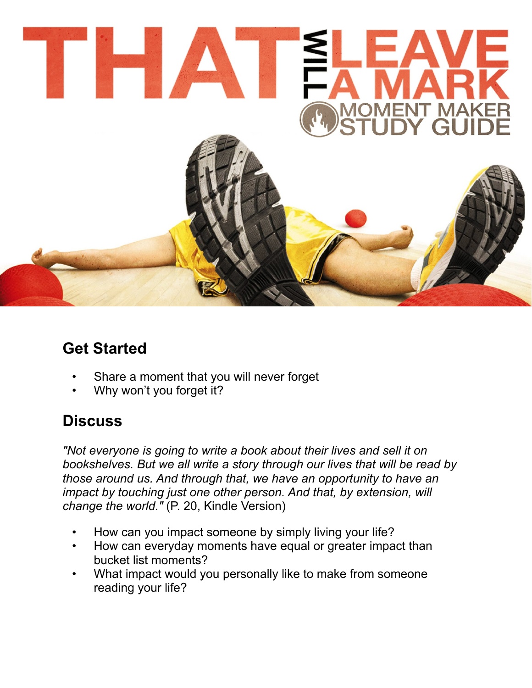

## **Get Started**

- Share a moment that you will never forget
- Why won't you forget it?

## **Discuss**

*"Not everyone is going to write a book about their lives and sell it on bookshelves. But we all write a story through our lives that will be read by those around us. And through that, we have an opportunity to have an impact by touching just one other person. And that, by extension, will change the world."* (P. 20, Kindle Version)

- How can you impact someone by simply living your life?
- How can everyday moments have equal or greater impact than bucket list moments?
- What impact would you personally like to make from someone reading your life?